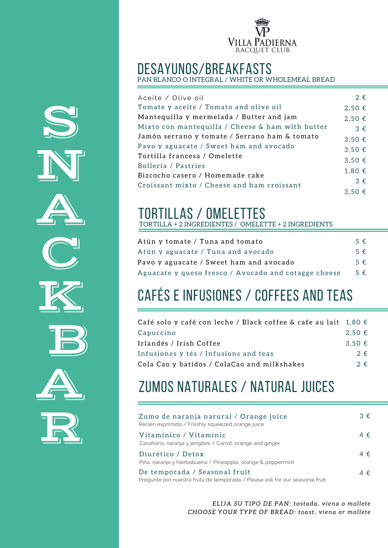

# desayunos/breakfasts PAN BLANCO O INTEGRAL / WHITE OR WHOLEMEAL BREAD

| Aceite / Olive oil                               | $2 \epsilon$ |
|--------------------------------------------------|--------------|
| Tomate y aceite / Tomato and olive oil           | $2,50 \in$   |
| Mantequilla y mermelada / Butter and jam         | 2,50€        |
| Mixto con mantequilla / Cheese & ham with butter | $3 \in$      |
| Jamón serrano y tomate / Serrano ham & tomato    | 3,50€        |
| Pavo y aguacate / Sweet ham and avocado          | 3,50€        |
| Tortilla francesa / Omelette                     | 3,50€        |
| Bollería / Pastries                              |              |
| Bizcocho casero / Homemade cake                  | $1,80 \in$   |
| Croissant mixto / Cheese and ham croissant       | $3 \in$      |
|                                                  | $3,50 \in$   |

## tortillas / omelettes

TORTILLA + 2 INGREDIENTES / OMELETTE + 2 INGREDIENTS

| Atún y tomate / Tuna and tomato                      | $5 \in$      |
|------------------------------------------------------|--------------|
| Atún y aguacate / Tuna and avocado                   | $5 \in$      |
| Pavo y aguacate / Sweet ham and avocado              | $5 \in$      |
| Aguacate y queso fresco / Avocado and cotagge cheese | $5 \epsilon$ |

## cafés e infusiones / coffees and teas

| Café solo y café con leche / Black coffee & cafe au lait $1,80 \in$ |              |
|---------------------------------------------------------------------|--------------|
| Capuccino                                                           | $2.50 \in$   |
| Irlandés / Irish Coffee                                             | $3.50 \in$   |
| Infusiones y tés / Infusions and teas                               | $2 \in$      |
| Cola Cao y batidos / ColaCao and milkshakes                         | $2 \epsilon$ |

### zumos naturales / natural juices

| Zumo de naranja narural / Orange juice<br>Recién exprimido / Freshly squeezed orange juice                   | $3 \in$      |
|--------------------------------------------------------------------------------------------------------------|--------------|
| Vitamínico / Vitaminic<br>Zanahoria, naranja y jengibre / Carrot, orange and ginger                          | $4 \epsilon$ |
| Diurético / Detox<br>Piña, naranja y hierbabuena / Pineapple, orange & peppermint                            | $4 \epsilon$ |
| De temporada / Seasonal fruit<br>Pregunte por nuestra fruta de temporada / Please ask for our seasonal fruit | $4 \epsilon$ |

*ELI JA SU TIPO DE PAN: t o s t ada , vi ena o mo l l e t e CHOOSE YOUR TYPE OF BREAD: t o a s t, vi ena o r mo l l e t e*